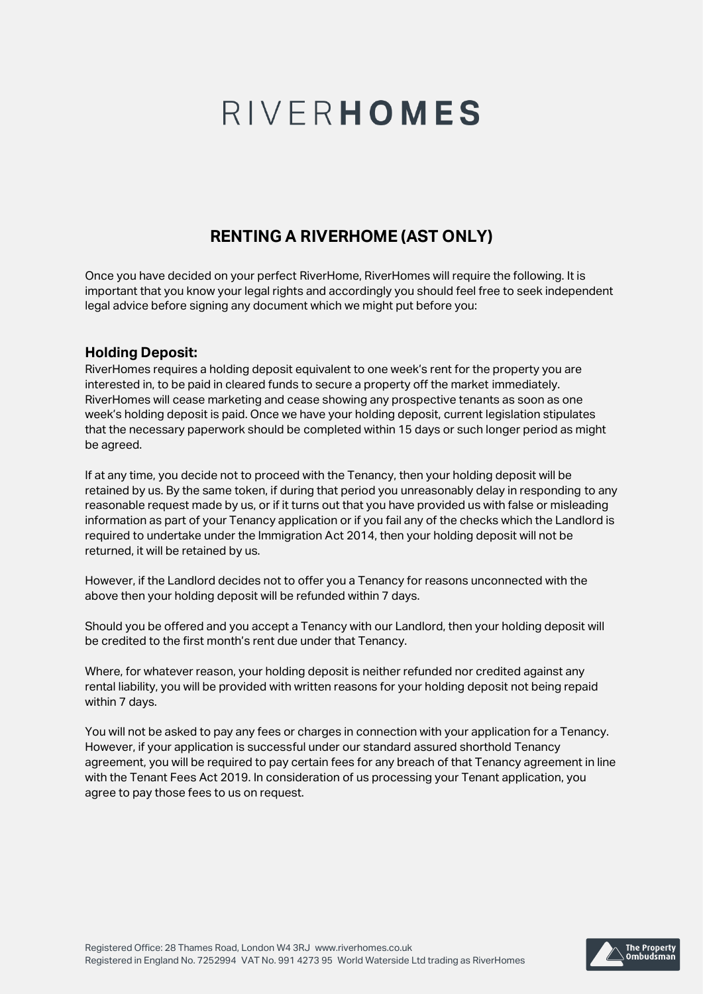## **RENTING A RIVERHOME (AST ONLY)**

Once you have decided on your perfect RiverHome, RiverHomes will require the following. It is important that you know your legal rights and accordingly you should feel free to seek independent legal advice before signing any document which we might put before you:

## **Holding Deposit:**

RiverHomes requires a holding deposit equivalent to one week's rent for the property you are interested in, to be paid in cleared funds to secure a property off the market immediately. RiverHomes will cease marketing and cease showing any prospective tenants as soon as one week's holding deposit is paid. Once we have your holding deposit, current legislation stipulates that the necessary paperwork should be completed within 15 days or such longer period as might be agreed.

If at any time, you decide not to proceed with the Tenancy, then your holding deposit will be retained by us. By the same token, if during that period you unreasonably delay in responding to any reasonable request made by us, or if it turns out that you have provided us with false or misleading information as part of your Tenancy application or if you fail any of the checks which the Landlord is required to undertake under the Immigration Act 2014, then your holding deposit will not be returned, it will be retained by us.

However, if the Landlord decides not to offer you a Tenancy for reasons unconnected with the above then your holding deposit will be refunded within 7 days.

Should you be offered and you accept a Tenancy with our Landlord, then your holding deposit will be credited to the first month's rent due under that Tenancy.

Where, for whatever reason, your holding deposit is neither refunded nor credited against any rental liability, you will be provided with written reasons for your holding deposit not being repaid within 7 days.

You will not be asked to pay any fees or charges in connection with your application for a Tenancy. However, if your application is successful under our standard assured shorthold Tenancy agreement, you will be required to pay certain fees for any breach of that Tenancy agreement in line with the Tenant Fees Act 2019. In consideration of us processing your Tenant application, you agree to pay those fees to us on request.

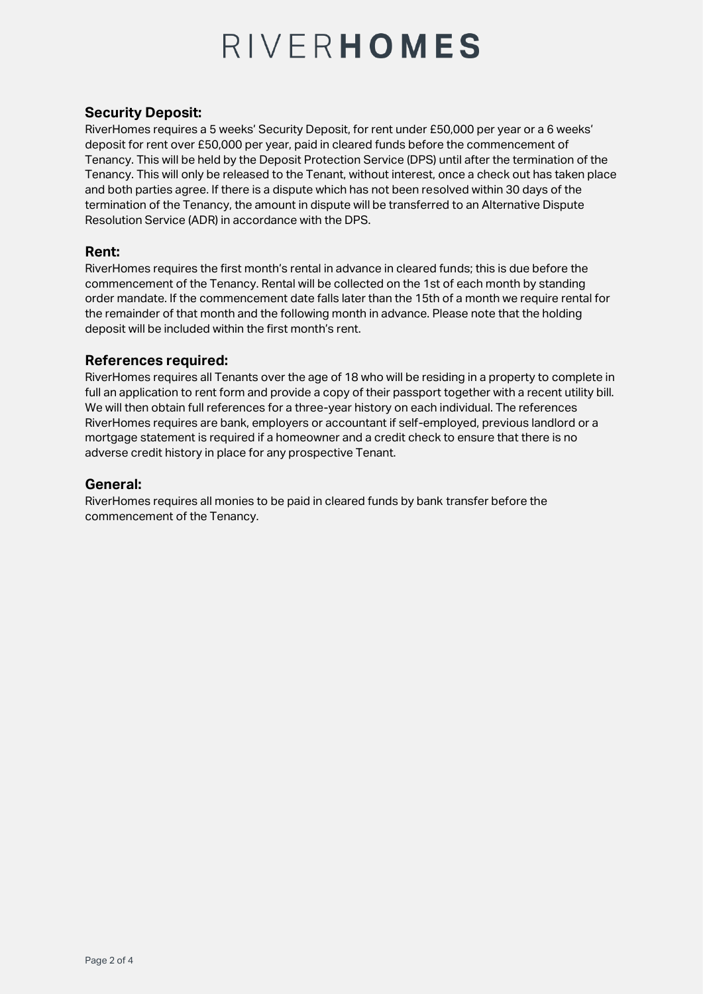## **Security Deposit:**

RiverHomes requires a 5 weeks' Security Deposit, for rent under £50,000 per year or a 6 weeks' deposit for rent over £50,000 per year, paid in cleared funds before the commencement of Tenancy. This will be held by the Deposit Protection Service (DPS) until after the termination of the Tenancy. This will only be released to the Tenant, without interest, once a check out has taken place and both parties agree. If there is a dispute which has not been resolved within 30 days of the termination of the Tenancy, the amount in dispute will be transferred to an Alternative Dispute Resolution Service (ADR) in accordance with the DPS.

### **Rent:**

RiverHomes requires the first month's rental in advance in cleared funds; this is due before the commencement of the Tenancy. Rental will be collected on the 1st of each month by standing order mandate. If the commencement date falls later than the 15th of a month we require rental for the remainder of that month and the following month in advance. Please note that the holding deposit will be included within the first month's rent.

## **References required:**

RiverHomes requires all Tenants over the age of 18 who will be residing in a property to complete in full an application to rent form and provide a copy of their passport together with a recent utility bill. We will then obtain full references for a three-year history on each individual. The references RiverHomes requires are bank, employers or accountant if self-employed, previous landlord or a mortgage statement is required if a homeowner and a credit check to ensure that there is no adverse credit history in place for any prospective Tenant.

### **General:**

RiverHomes requires all monies to be paid in cleared funds by bank transfer before the commencement of the Tenancy.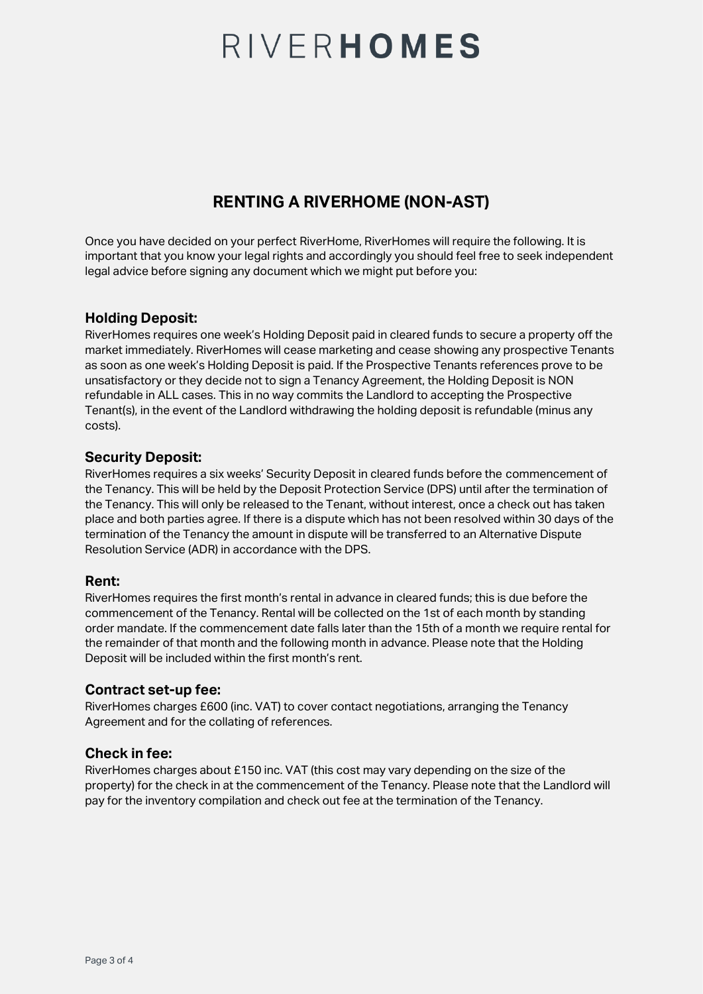## **RENTING A RIVERHOME (NON-AST)**

Once you have decided on your perfect RiverHome, RiverHomes will require the following. It is important that you know your legal rights and accordingly you should feel free to seek independent legal advice before signing any document which we might put before you:

## **Holding Deposit:**

RiverHomes requires one week's Holding Deposit paid in cleared funds to secure a property off the market immediately. RiverHomes will cease marketing and cease showing any prospective Tenants as soon as one week's Holding Deposit is paid. If the Prospective Tenants references prove to be unsatisfactory or they decide not to sign a Tenancy Agreement, the Holding Deposit is NON refundable in ALL cases. This in no way commits the Landlord to accepting the Prospective Tenant(s), in the event of the Landlord withdrawing the holding deposit is refundable (minus any costs).

## **Security Deposit:**

RiverHomes requires a six weeks' Security Deposit in cleared funds before the commencement of the Tenancy. This will be held by the Deposit Protection Service (DPS) until after the termination of the Tenancy. This will only be released to the Tenant, without interest, once a check out has taken place and both parties agree. If there is a dispute which has not been resolved within 30 days of the termination of the Tenancy the amount in dispute will be transferred to an Alternative Dispute Resolution Service (ADR) in accordance with the DPS.

## **Rent:**

RiverHomes requires the first month's rental in advance in cleared funds; this is due before the commencement of the Tenancy. Rental will be collected on the 1st of each month by standing order mandate. If the commencement date falls later than the 15th of a month we require rental for the remainder of that month and the following month in advance. Please note that the Holding Deposit will be included within the first month's rent.

## **Contract set-up fee:**

RiverHomes charges £600 (inc. VAT) to cover contact negotiations, arranging the Tenancy Agreement and for the collating of references.

## **Check in fee:**

RiverHomes charges about £150 inc. VAT (this cost may vary depending on the size of the property) for the check in at the commencement of the Tenancy. Please note that the Landlord will pay for the inventory compilation and check out fee at the termination of the Tenancy.